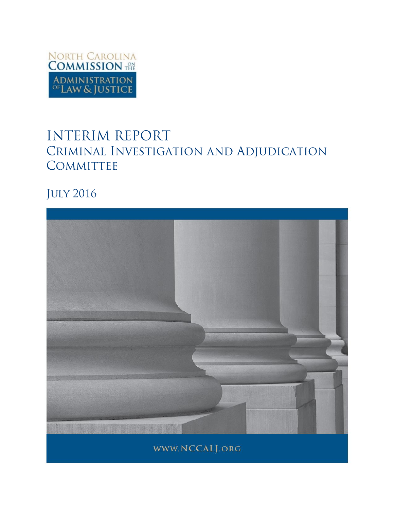

# **INTERIM REPORT** CRIMINAL INVESTIGATION AND ADJUDICATION COMMITTEE

**JULY 2016** 

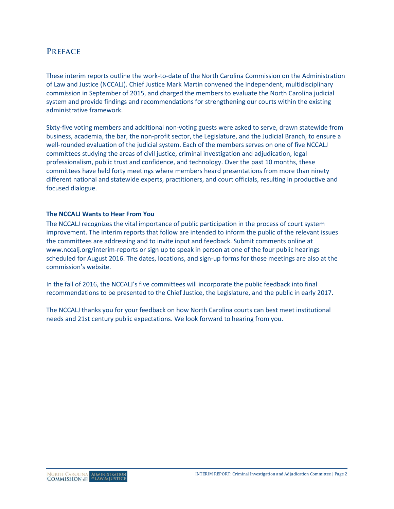# **PREFACE**

These interim reports outline the work-to-date of the North Carolina Commission on the Administration of Law and Justice (NCCALJ). Chief Justice Mark Martin convened the independent, multidisciplinary commission in September of 2015, and charged the members to evaluate the North Carolina judicial system and provide findings and recommendations for strengthening our courts within the existing administrative framework.

Sixty-five voting members and additional non-voting guests were asked to serve, drawn statewide from business, academia, the bar, the non-profit sector, the Legislature, and the Judicial Branch, to ensure a well-rounded evaluation of the judicial system. Each of the members serves on one of five NCCALJ committees studying the areas of civil justice, criminal investigation and adjudication, legal professionalism, public trust and confidence, and technology. Over the past 10 months, these committees have held forty meetings where members heard presentations from more than ninety different national and statewide experts, practitioners, and court officials, resulting in productive and focused dialogue.

#### **The NCCALJ Wants to Hear From You**

The NCCALJ recognizes the vital importance of public participation in the process of court system improvement. The interim reports that follow are intended to inform the public of the relevant issues the committees are addressing and to invite input and feedback. Submit comments online at [www.nccalj.org/interim-reports](file://wfs01.aoc.nccourts.org/Network_Folders/UNIT_Communications/Courts/Session%20Comms/Commission%20on%20the%20Administration%20of%20Law%20and%20Justice/Reports/www.nccalj.org/interim-reports) or sign up to speak in person at one of the four public hearings scheduled for August 2016. The dates, locations, and sign-up forms for those meetings are also at the commission's website.

In the fall of 2016, the NCCALJ's five committees will incorporate the public feedback into final recommendations to be presented to the Chief Justice, the Legislature, and the public in early 2017.

The NCCALJ thanks you for your feedback on how North Carolina courts can best meet institutional needs and 21st century public expectations. We look forward to hearing from you.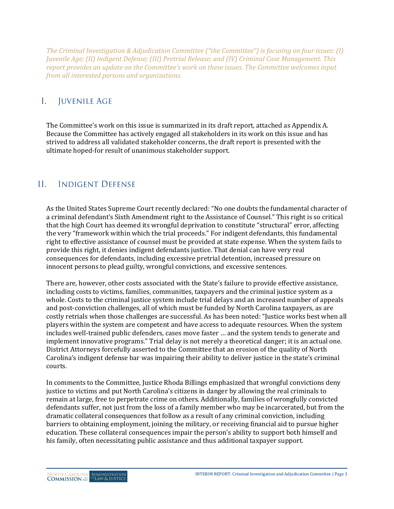*The Criminal Investigation & Adjudication Committee ("the Committee") is focusing on four issues: (I) Juvenile Age; (II) Indigent Defense; (III) Pretrial Release; and (IV) Criminal Case Management. This report provides an update on the Committee's work on these issues. The Committee welcomes input from all interested persons and organizations.*

#### $\mathbf{I}$ . **JUVENILE AGE**

The Committee's work on this issue is summarized in its draft report, attached as Appendix A. Because the Committee has actively engaged all stakeholders in its work on this issue and has strived to address all validated stakeholder concerns, the draft report is presented with the ultimate hoped-for result of unanimous stakeholder support.

#### $\Pi$ **INDIGENT DEFENSE**

As the United States Supreme Court recently declared: "No one doubts the fundamental character of a criminal defendant's Sixth Amendment right to the Assistance of Counsel." This right is so critical that the high Court has deemed its wrongful deprivation to constitute "structural" error, affecting the very "framework within which the trial proceeds." For indigent defendants, this fundamental right to effective assistance of counsel must be provided at state expense. When the system fails to provide this right, it denies indigent defendants justice. That denial can have very real consequences for defendants, including excessive pretrial detention, increased pressure on innocent persons to plead guilty, wrongful convictions, and excessive sentences.

There are, however, other costs associated with the State's failure to provide effective assistance, including costs to victims, families, communities, taxpayers and the criminal justice system as a whole. Costs to the criminal justice system include trial delays and an increased number of appeals and post-conviction challenges, all of which must be funded by North Carolina taxpayers, as are costly retrials when those challenges are successful. As has been noted: "Justice works best when all players within the system are competent and have access to adequate resources. When the system includes well-trained public defenders, cases move faster … and the system tends to generate and implement innovative programs." Trial delay is not merely a theoretical danger; it is an actual one. District Attorneys forcefully asserted to the Committee that an erosion of the quality of North Carolina's indigent defense bar was impairing their ability to deliver justice in the state's criminal courts.

In comments to the Committee, Justice Rhoda Billings emphasized that wrongful convictions deny justice to victims and put North Carolina's citizens in danger by allowing the real criminals to remain at large, free to perpetrate crime on others. Additionally, families of wrongfully convicted defendants suffer, not just from the loss of a family member who may be incarcerated, but from the dramatic collateral consequences that follow as a result of any criminal conviction, including barriers to obtaining employment, joining the military, or receiving financial aid to pursue higher education. These collateral consequences impair the person's ability to support both himself and his family, often necessitating public assistance and thus additional taxpayer support.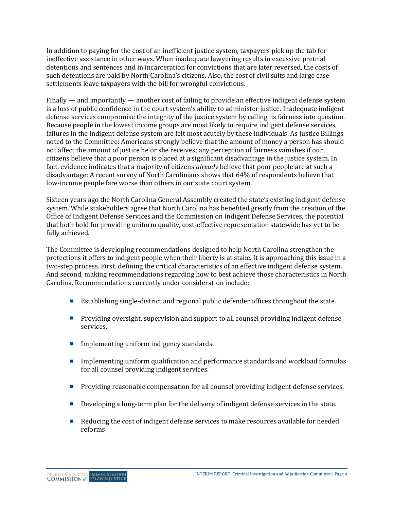In addition to paying for the cost of an inefficient justice system, taxpayers pick up the tab for ineffective assistance in other ways. When inadequate lawyering results in excessive pretrial detentions and sentences and in incarceration for convictions that are later reversed, the costs of such detentions are paid by North Carolina's citizens. Also, the cost of civil suits and large case settlements leave taxpayers with the bill for wrongful convictions.

Finally — and importantly — another cost of failing to provide an effective indigent defense system is a loss of public confidence in the court system's ability to administer justice. Inadequate indigent defense services compromise the integrity of the justice system by calling its fairness into question. Because people in the lowest income groups are most likely to require indigent defense services, failures in the indigent defense system are felt most acutely by these individuals. As Justice Billings noted to the Committee: Americans strongly believe that the amount of money a person has should not affect the amount of justice he or she receives; any perception of fairness vanishes if our citizens believe that a poor person is placed at a significant disadvantage in the justice system. In fact, evidence indicates that a majority of citizens *already* believe that poor people are at such a disadvantage: A recent survey of North Carolinians shows that 64% of respondents believe that low-income people fare worse than others in our state court system.

Sixteen years ago the North Carolina General Assembly created the state's existing indigent defense system. While stakeholders agree that North Carolina has benefited greatly from the creation of the Office of Indigent Defense Services and the Commission on Indigent Defense Services, the potential that both hold for providing uniform quality, cost-effective representation statewide has yet to be fully achieved.

The Committee is developing recommendations designed to help North Carolina strengthen the protections it offers to indigent people when their liberty is at stake. It is approaching this issue in a two-step process. First, defining the critical characteristics of an effective indigent defense system. And second, making recommendations regarding how to best achieve those characteristics in North Carolina. Recommendations currently under consideration include:

- Establishing single-district and regional public defender offices throughout the state.
- **Providing oversight, supervision and support to all counsel providing indigent defense** services.
- $\blacksquare$  Implementing uniform indigency standards.
- **IMPLEM** Implementing uniform qualification and performance standards and workload formulas for all counsel providing indigent services.
- **Providing reasonable compensation for all counsel providing indigent defense services.**
- Developing a long-term plan for the delivery of indigent defense services in the state.
- Reducing the cost of indigent defense services to make resources available for needed reforms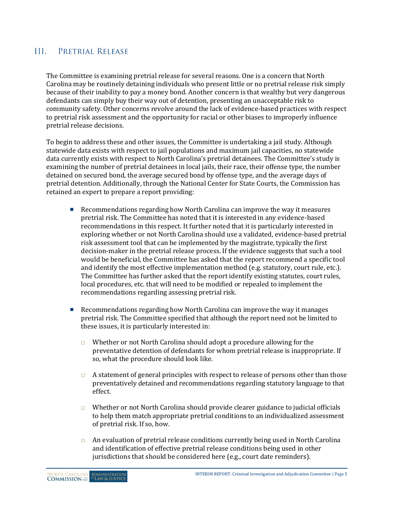#### $III$ PRETRIAL RELEASE

The Committee is examining pretrial release for several reasons. One is a concern that North Carolina may be routinely detaining individuals who present little or no pretrial release risk simply because of their inability to pay a money bond. Another concern is that wealthy but very dangerous defendants can simply buy their way out of detention, presenting an unacceptable risk to community safety. Other concerns revolve around the lack of evidence-based practices with respect to pretrial risk assessment and the opportunity for racial or other biases to improperly influence pretrial release decisions.

To begin to address these and other issues, the Committee is undertaking a jail study. Although statewide data exists with respect to jail populations and maximum jail capacities, no statewide data currently exists with respect to North Carolina's pretrial detainees. The Committee's study is examining the number of pretrial detainees in local jails, their race, their offense type, the number detained on secured bond, the average secured bond by offense type, and the average days of pretrial detention. Additionally, through the National Center for State Courts, the Commission has retained an expert to prepare a report providing:

- **EXECOMMENDERIFY RECOMMENDERIFY INCORDING THE EXECUTION CONTROVERY** Recommendations regarding how North Carolina can improve the way it measures pretrial risk. The Committee has noted that it is interested in any evidence-based recommendations in this respect. It further noted that it is particularly interested in exploring whether or not North Carolina should use a validated, evidence-based pretrial risk assessment tool that can be implemented by the magistrate, typically the first decision-maker in the pretrial release process. If the evidence suggests that such a tool would be beneficial, the Committee has asked that the report recommend a specific tool and identify the most effective implementation method (e.g. statutory, court rule, etc.). The Committee has further asked that the report identify existing statutes, court rules, local procedures, etc. that will need to be modified or repealed to implement the recommendations regarding assessing pretrial risk.
- Recommendations regarding how North Carolina can improve the way it manages pretrial risk. The Committee specified that although the report need not be limited to these issues, it is particularly interested in:
	- $\Box$  Whether or not North Carolina should adopt a procedure allowing for the preventative detention of defendants for whom pretrial release is inappropriate. If so, what the procedure should look like.
	- $\Box$  A statement of general principles with respect to release of persons other than those preventatively detained and recommendations regarding statutory language to that effect.
	- $\Box$  Whether or not North Carolina should provide clearer guidance to judicial officials to help them match appropriate pretrial conditions to an individualized assessment of pretrial risk. If so, how.
	- $\Box$  An evaluation of pretrial release conditions currently being used in North Carolina and identification of effective pretrial release conditions being used in other jurisdictions that should be considered here (e.g., court date reminders).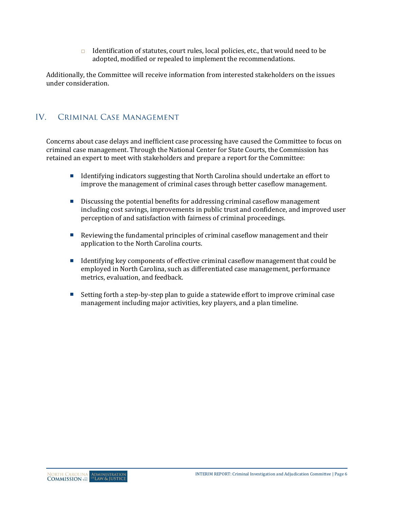Identification of statutes, court rules, local policies, etc., that would need to be adopted, modified or repealed to implement the recommendations.

Additionally, the Committee will receive information from interested stakeholders on the issues under consideration.

#### $IV.$ CRIMINAL CASE MANAGEMENT

Concerns about case delays and inefficient case processing have caused the Committee to focus on criminal case management. Through the National Center for State Courts, the Commission has retained an expert to meet with stakeholders and prepare a report for the Committee:

- Identifying indicators suggesting that North Carolina should undertake an effort to improve the management of criminal cases through better caseflow management.
- **Discussing the potential benefits for addressing criminal caseflow management** including cost savings, improvements in public trust and confidence, and improved user perception of and satisfaction with fairness of criminal proceedings.
- Reviewing the fundamental principles of criminal caseflow management and their application to the North Carolina courts.
- Identifying key components of effective criminal caseflow management that could be employed in North Carolina, such as differentiated case management, performance metrics, evaluation, and feedback.
- Setting forth a step-by-step plan to guide a statewide effort to improve criminal case management including major activities, key players, and a plan timeline.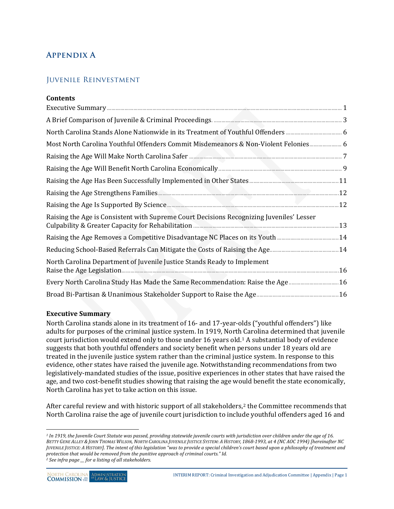# **Appendix A**

## Juvenile Reinvestment

| <b>Contents</b>                                                                          |  |
|------------------------------------------------------------------------------------------|--|
|                                                                                          |  |
|                                                                                          |  |
|                                                                                          |  |
| Most North Carolina Youthful Offenders Commit Misdemeanors & Non-Violent Felonies 6      |  |
|                                                                                          |  |
|                                                                                          |  |
|                                                                                          |  |
|                                                                                          |  |
|                                                                                          |  |
| Raising the Age is Consistent with Supreme Court Decisions Recognizing Juveniles' Lesser |  |
| Raising the Age Removes a Competitive Disadvantage NC Places on its Youth 14             |  |
|                                                                                          |  |
| North Carolina Department of Juvenile Justice Stands Ready to Implement                  |  |
| Every North Carolina Study Has Made the Same Recommendation: Raise the Age 16            |  |
|                                                                                          |  |

### <span id="page-6-0"></span>**Executive Summary**

North Carolina stands alone in its treatment of 16- and 17-year-olds ("youthful offenders") like adults for purposes of the criminal justice system. In 1919, North Carolina determined that juvenile court jurisdiction would extend only to those under 16 years old.[1](#page-6-1) A substantial body of evidence suggests that both youthful offenders and society benefit when persons under 18 years old are treated in the juvenile justice system rather than the criminal justice system. In response to this evidence, other states have raised the juvenile age. Notwithstanding recommendations from two legislatively-mandated studies of the issue, positive experiences in other states that have raised the age, and two cost-benefit studies showing that raising the age would benefit the state economically, North Carolina has yet to take action on this issue.

After careful review and with historic support of all stakeholders,<sup>[2](#page-6-2)</sup> the Committee recommends that North Carolina raise the age of juvenile court jurisdiction to include youthful offenders aged 16 and

 $\overline{a}$ 

<span id="page-6-1"></span><sup>&</sup>lt;sup>1</sup> In 1919, the Juvenile Court Statute was passed, providing statewide juvenile courts with jurisdiction over children under the age of 16. *BETTY GENE ALLEY & JOHN THOMAS WILSON, NORTH CAROLINA JUVENILE JUSTICE SYSTEM: A HISTORY, 1868-1993, at 4 (NC AOC 1994) [hereinafter NC JUVENILE JUSTICE: A HISTORY]. The intent of this legislation "was to provide a special children's court based upon a philosophy of treatment and protection that would be removed from the punitive approach of criminal courts." Id.*

<span id="page-6-2"></span>*<sup>2</sup> See infra page \_\_ for a listing of all stakeholders.*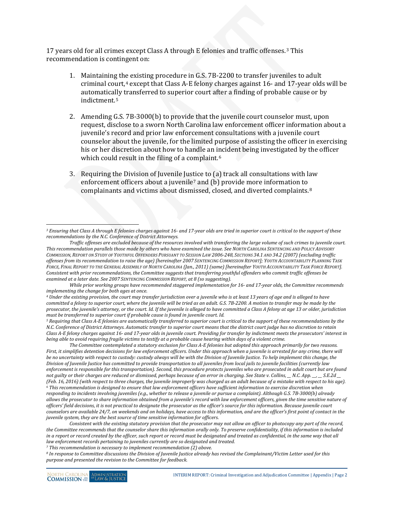17 years old for all crimes except Class A through E felonies and traffic offenses.[3](#page-7-0) This recommendation is contingent on:

- 1. Maintaining the existing procedure in G.S. 7B-2200 to transfer juveniles to adult criminal court,<sup>[4](#page-7-1)</sup> except that Class A-E felony charges against 16- and 17-year olds will be automatically transferred to superior court after a finding of probable cause or by indictment.[5](#page-7-2)
- 2. Amending G.S. 7B-3000(b) to provide that the juvenile court counselor must, upon request, disclose to a sworn North Carolina law enforcement officer information about a juvenile's record and prior law enforcement consultations with a juvenile court counselor about the juvenile, for the limited purpose of assisting the officer in exercising his or her discretion about how to handle an incident being investigated by the officer which could result in the filing of a complaint.<sup>[6](#page-7-3)</sup>
- 3. Requiring the Division of Juvenile Jus[ti](#page-7-4)ce to (a) track all consultations with law enforcement officers about a juvenile<sup>7</sup> and (b) provide more information to complainants and victims about dismissed, closed, and diverted complaints.[8](#page-7-5)

<span id="page-7-2"></span><sup>5</sup> Requiring that Class A-E felonies are automatically transferred to superior court is critical to the support of these recommendations by the *N.C. Conference of District Attorneys. Automatic transfer to superior court means that the district court judge has no discretion to retain Class A-E felony charges against 16- and 17-year olds in juvenile court. Providing for transfer by indictment meets the prosecutors' interest in being able to avoid requiring fragile victims to testify at a probable cause hearing within days of a violent crime.*

*The Committee contemplated a statutory exclusion for Class A-E felonies but adopted this approach primarily for two reasons.*  First, it simplifies detention decisions for law enforcement officers. Under this approach when a juvenile is arrested for any crime, there will *be no uncertainty with respect to custody: custody always will be with the Division of Juvenile Justice. To help implement this change, the Division of Juvenile Justice has committed to provide transportation to all juveniles from local jails to juvenile facilities (currently law enforcement is responsible for this transportation). Second, this procedure protects juveniles who are prosecuted in adult court but are found not guilty or their charges are reduced or dismissed, perhaps because of an error in charging. See State v. Collins, \_\_ N.C. App. \_\_, \_\_ S.E.2d \_\_ (Feb. 16, 2016) (with respect to three charges, the juvenile improperly was charged as an adult because of a mistake with respect to his age). <sup>6</sup> This recommendation is designed to ensure that law enforcement officers have sufficient information to exercise discretion when responding to incidents involving juveniles (e.g., whether to release a juvenile or pursue a complaint). Although G.S. 7B-3000(b) already allows the prosecutor to share information obtained from a juvenile's record with law enforcement officers, given the time sensitive nature of officers' field decisions, it is not practical to designate the prosecutor as the officer's source for this information. Because juvenile court counselors are available 24/7, on weekends and on holidays, have access to this information, and are the officer's first point of contact in the juvenile system, they are the best source of time sensitive information for officers.*

<span id="page-7-3"></span>*Consistent with the existing statutory provision that the prosecutor may not allow an officer to photocopy any part of the record, the Committee recommends that the counselor share this information orally only. To preserve confidentiality, if this information is included in a report or record created by the officer, such report or record must be designated and treated as confidential, in the same way that all law enforcement records pertaining to juveniles currently are so designated and treated.*

*<sup>7</sup> This recommendation is necessary to implement recommendation (2) above.* 

<span id="page-7-5"></span><span id="page-7-4"></span>*<sup>8</sup> In response to Committee discussions the Division of Juvenile Justice already has revised the Complainant/Victim Letter used for this purpose and presented the revision to the Committee for feedback.* 

 $\ddot{\phantom{a}}$ 

<span id="page-7-0"></span>*<sup>3</sup> Ensuring that Class A through E felonies charges against 16- and 17-year olds are tried in superior court is critical to the support of these recommendations by the N.C. Conference of District Attorneys.*

*Traffic offenses are excluded because of the resources involved with transferring the large volume of such crimes to juvenile court. This recommendation parallels those made by others who have examined the issue. See NORTH CAROLINA SENTENCING AND POLICY ADVISORY COMMISSION, REPORT ON STUDY OF YOUTHFUL OFFENDERS PURSUANT TO SESSION LAW 2006-248, SECTIONS 34.1 AND 34.2 (2007) (excluding traffic offenses from its recommendation to raise the age) [hereinafter 2007 SENTENCING COMMISSION REPORT]; YOUTH ACCOUNTABILITY PLANNING TASK FORCE, FINAL REPORT TO THE GENERAL ASSEMBLY OF NORTH CAROLINA (Jan., 2011) (same) [hereinafter YOUTH ACCOUNTABILITY TASK FORCE REPORT]. Consistent with prior recommendations, the Committee suggests that transferring youthful offenders who commit traffic offenses be examined at a later date. See 2007 SENTENCING COMMISSION REPORT, at 8 (so suggesting).* 

*While prior working groups have recommended staggered implementation for 16- and 17-year olds, the Committee recommends* 

<span id="page-7-1"></span>*implementing the change for both ages at once. 4 Under the existing provision, the court may transfer jurisdiction over a juvenile who is at least 13 years of age and is alleged to have committed a felony to superior court, where the juvenile will be tried as an adult. G.S. 7B-2200. A motion to transfer may be made by the prosecutor, the juvenile's attorney, or the court. Id. If the juvenile is alleged to have committed a Class A felony at age 13 or older, jurisdiction*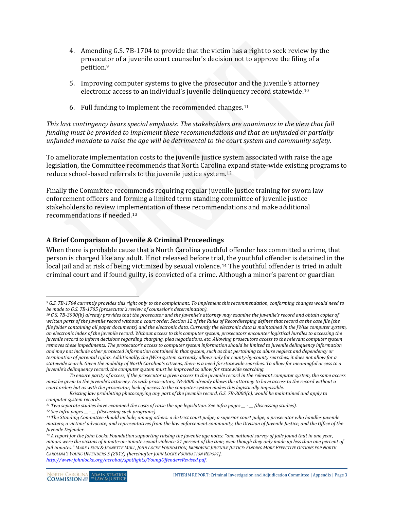- 4. Amending G.S. 7B-1704 to provide that the victim has a right to seek review by the prosecu[to](#page-8-1)r of a juvenile court counselor's decision not to approve the filing of a petition.9
- 5. Improving computer systems to give the prosecutor and the juvenile's att[orn](#page-8-2)ey electronic access to an individual's juvenile delinquency record statewide.10
- 6. Full funding to implement the recommended changes.<sup>[11](#page-8-3)</sup>

*This last contingency bears special emphasis: The stakeholders are unanimous in the view that full funding must be provided to implement these recommendations and that an unfunded or partially unfunded mandate to raise the age will be detrimental to the court system and community safety.*

To ameliorate implementation costs to the juvenile justice system associated with raise the age legislation, the Committee recommends that North Carolina expand state-wide existing programs to reduce school-based referrals to the juvenile justice system.[12](#page-8-4)

Finally the Committee recommends requiring regular juvenile justice training for sworn law enforcement officers and forming a limited term standing committee of juvenile justice stakeholders to review impl[em](#page-8-5)entation of these recommendations and make additional recommendations if needed.13

### <span id="page-8-0"></span>**A Brief Comparison of Juvenile & Criminal Proceedings**

When there is probable cause that a North Carolina youthful offender has committed a crime, that person is charged like any adult. If not released before tria[l, t](#page-8-6)he youthful offender is detained in the local jail and at risk of being victimized by sexual violence.<sup>14</sup> The youthful offender is tried in adult criminal court and if found guilty, is convicted of a crime. Although a minor's parent or guardian

<span id="page-8-1"></span> $\ddot{\phantom{a}}$ *<sup>9</sup> G.S. 7B-1704 currently provides this right only to the complainant. To implement this recommendation, conforming changes would need to be made to G.S. 7B-1705 (prosecutor's review of counselor's determination).*

<span id="page-8-2"></span>*<sup>10</sup> G.S. 7B-3000(b) already provides that the prosecutor and the juvenile's attorney may examine the juvenile's record and obtain copies of written parts of the juvenile record without a court order. Section 12 of the Rules of Recordkeeping defines that record as the case file (the file folder containing all paper documents) and the electronic data. Currently the electronic data is maintained in the JWise computer system, an electronic index of the juvenile record. Without access to this computer system, prosecutors encounter logistical hurdles to accessing the juvenile record to inform decisions regarding charging, plea negotiations, etc. Allowing prosecutors access to the relevant computer system removes these impediments. The prosecutor's access to computer system information should be limited to juvenile delinquency information and may not include other protected information contained in that system, such as that pertaining to abuse neglect and dependency or termination of parental rights. Additionally, the JWise system currently allows only for county-by-county searches; it does not allow for a statewide search. Given the mobility of North Carolina's citizens, there is a need for statewide searches. To allow for meaningful access to a juvenile's delinquency record, the computer system must be improved to allow for statewide searching.* 

*To ensure parity of access, if the prosecutor is given access to the juvenile record in the relevant computer system, the same access must be given to the juvenile's attorney. As with prosecutors, 7B-3000 already allows the attorney to have access to the record without a court order; but as with the prosecutor, lack of access to the computer system makes this logistically impossible.*

*Existing law prohibiting photocopying any part of the juvenile record, G.S. 7B-3000(c), would be maintained and apply to computer system records.*

<span id="page-8-3"></span>*<sup>11</sup> Two separate studies have examined the costs of raise the age legislation. See infra pages \_\_ - \_\_ (discussing studies).*

*<sup>12</sup> See infra pages \_\_ - \_\_ (discussing such programs).*

<span id="page-8-5"></span><span id="page-8-4"></span>*<sup>13</sup> The Standing Committee should include, among others: a district court judge; a superior court judge; a prosecutor who handles juvenile matters; a victims' advocate; and representatives from the law enforcement community, the Division of Juvenile Justice, and the Office of the Juvenile Defender.*

<span id="page-8-6"></span><sup>&</sup>lt;sup>14</sup> *A report for the John Locke Foundation supporting raising the juvenile age notes: "one national survey of jails found that in one year, minors were the victims of inmate-on-inmate sexual violence 21 percent of the time, even though they only made up less than one percent of jail inmates." MARK LEVIN & JEANETTE MOLL, JOHN LOCKE FOUNDATION, IMPROVING JUVENILE JUSTICE: FINDING MORE EFFECTIVE OPTIONS FOR NORTH CAROLINA'S YOUNG OFFENDERS 5 (2013) [hereinafter JOHN LOCKE FOUNDATION REPORT], [http://www.johnlocke.org/acrobat/spotlights/YoungOffendersRevised.pdf.](http://www.johnlocke.org/acrobat/spotlights/YoungOffendersRevised.pdf)*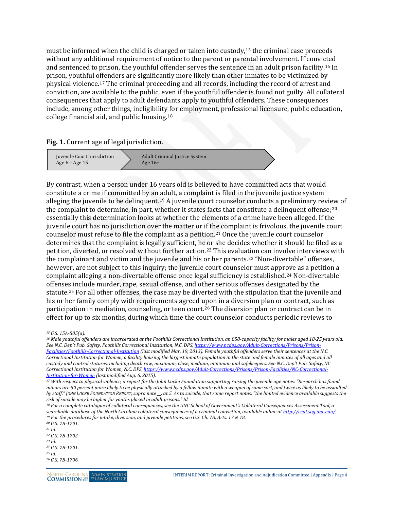must be informed when the child is charged or taken into custody,[15](#page-9-0) the criminal case proceeds without any additional requirement of notice to the parent or parental involvement. If convicted and sentenced to prison, the youthful offender serves the sentence in an adult prison facility.[16](#page-9-1) In prison, youthful offenders are significantly more likely than other inmates to be victimized by physical violence.[17](#page-9-2) The criminal proceeding and all records, including the record of arrest and conviction, are available to the public, even if the youthful offender is found not guilty. All collateral consequences that apply to adult defendants apply to youthful offenders. These consequences include, among other things, ineligibility [fo](#page-9-3)r employment, professional licensure, public education, college financial aid, and public housing.18

**Fig. 1.** Current age of legal jurisdiction.



By contrast, when a person under 16 years old is believed to have committed acts that would constitute a crime if committed by an adult, a complaint is filed in the juvenile justice system alleging the juvenile to be delinquent.[19](#page-9-4) A juvenile court counselor conducts a preliminary review of the complaint to determine, in part, whether it states facts that constitute a delinquent offense; $2^0$ essentially this determination looks at whether the elements of a crime have been alleged. If the juvenile court has no jurisdiction over the matter or if the complaint is frivolous, the juvenile court counselor must refuse to file the complaint as a petition.[21](#page-9-6) Once the juvenile court counselor determines that the complaint is legally sufficient, he or she decides whether it should be filed as a petition, diverted, or resolved without further action.<sup>[22](#page-9-7)</sup> This evaluation can involve interviews with the complainant and victim and the juvenile and his or her parents.[23](#page-9-8) "Non-divertable" offenses, however, are not subject to this inquiry; the juvenile court counselor must appr[ov](#page-9-9)e as a petition a complaint alleging a non-divertable offense once legal sufficiency is established.24 Non-divertable offenses include murder, rape, sexual offense, and other serious offenses designated by the statute.[25](#page-9-10) For all other offenses, the case may be diverted with the stipulation that the juvenile and his or her family comply with requirements agreed upon in a diversion plan or contract, such as participation in mediation, counseling, or teen court.[26](#page-9-11) The diversion plan or contract can be in effect for up to six months, during which time the court counselor conducts periodic reviews to

<span id="page-9-9"></span>*<sup>24</sup> G.S. 7B-1701.*

 $\ddot{\phantom{a}}$ *<sup>15</sup> G.S. 15A-505(a).*

<span id="page-9-1"></span><span id="page-9-0"></span><sup>&</sup>lt;sup>16</sup> Male youthful offenders are incarcerated at the Foothills Correctional Institution, an 858-capacity facility for males aged 18-25 years old. *See N.C. Dep't Pub. Safety, Foothills Correctional Institution, N.C. DPS[, https://www.ncdps.gov/Adult-Corrections/Prisons/Prison-](https://www.ncdps.gov/Adult-Corrections/Prisons/Prison-Facilities/Foothills-Correctional-Institution)[Facilities/Foothills-Correctional-Institution](https://www.ncdps.gov/Adult-Corrections/Prisons/Prison-Facilities/Foothills-Correctional-Institution) (last modified Mar. 19, 2013). Female youthful offenders serve their sentences at the N.C. Correctional Institution for Women, a facility housing the largest inmate population in the state and female inmates of all ages and all custody and control statuses, including death row, maximum, close, medium, minimum and safekeepers. See N.C. Dep't Pub. Safety, NC Correctional Institution for Women, N.C. DPS, [https://www.ncdps.gov/Adult-Corrections/Prisons/Prison-Facilities/NC-Correctional-](https://www.ncdps.gov/Adult-Corrections/Prisons/Prison-Facilities/NC-Correctional-Institution-for-Women)*

<span id="page-9-2"></span>*Institution-for-Women [\(](https://www.ncdps.gov/Adult-Corrections/Prisons/Prison-Facilities/NC-Correctional-Institution-for-Women)last modified Aug. 6, 2015). 17 With respect to physical violence, a report for the John Locke Foundation supporting raising the juvenile age notes: "Research has found minors are 50 percent more likely to be physically attacked by a fellow inmate with a weapon of some sort, and twice as likely to be assaulted by staff." JOHN LOCKE FOUNDATION REPORT, supra note \_\_, at 5. As to suicide, that same report notes: "the limited evidence available suggests the risk of suicide may be higher for youths placed in adult prisons." Id.*

<span id="page-9-3"></span>*<sup>18</sup> For a complete catalogue of collateral consequences, see the UNC School of Government's Collateral Consequences Assessment Tool, a*  searchable database of the North Carolina collateral consequences of a criminal conviction, available online at http://ccat.sog.unc.edu/.<br><sup>19</sup> For the procedures for intake, diversion, and juvenile petitions, see G.S. Ch.

<span id="page-9-5"></span><span id="page-9-4"></span>*<sup>20</sup> G.S. 7B-1701. <sup>21</sup> Id.*

<span id="page-9-7"></span><span id="page-9-6"></span>*<sup>22</sup> G.S. 7B-1702.*

<span id="page-9-8"></span>*<sup>23</sup> Id.*

<span id="page-9-10"></span>*<sup>25</sup> Id.*

<span id="page-9-11"></span>*<sup>26</sup> G.S. 7B-1706.*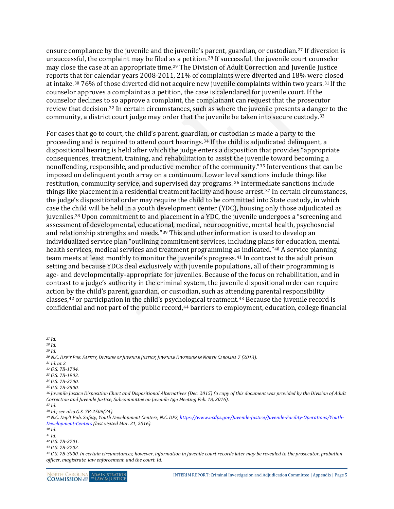ensure compliance by the juvenile and the juvenile's parent, guardian, or custodian.[27](#page-10-0) If diversion is unsuccessful, the complaint may be filed a[s a](#page-10-2) petition.[28](#page-10-1) If successful, the juvenile court counselor may close the case at an appropriate time.29 The Division of Adult Correction and Juvenile Justice reports that for calendar years 2008-2011, 21% of complaints were diverted and 18% were closed at intake.[30](#page-10-3) 76% of those diverted did not acquire new juvenile complaints within two years.[31](#page-10-4) If the counselor approves a complaint as a petition, the case is calendared for juvenile court. If the counselor declines t[o s](#page-10-5)o approve a complaint, the complainant can request that the prosecutor review that decision.32 In certain circumstances, such as where the juvenile presents a dan[ge](#page-10-6)r to the community, a district court judge may order that the juvenile be taken into secure custody.33

For cases that go to court, the child's parent, guardia[n,](#page-10-7) or custodian is made a party to the proceeding and is required to attend court hearings.34 If the child is adjudicated delinquent, a dispositional hearing is held after which the judge enters a disposition that provides "appropriate consequences, treatment, training, and rehabilitation to assist the juvenile toward becoming a nonoffending, responsible, and productive member of the community."[35](#page-10-8) Interventions that can be imposed on delinquent youth array on a continuum. Lower le[vel](#page-10-9) sanctions include things like restitution, community service, and supervised day programs. <sup>36</sup> Intermediate sanctions include things like placement in a residential treatment facility and house arrest.[37](#page-10-10) In certain circumstances, the judge's dispositional order may require the child to be committed into State custody, in which case the [chi](#page-10-11)ld will be held in a youth development center (YDC), housing only those adjudicated as juveniles.38 Upon commitment to and placement in a YDC, the juvenile undergoes a "screening and assessment of developmental, educati[on](#page-10-12)al, medical, neurocognitive, mental health, psychosocial and relationship strengths and needs."39 This and other information is used to develop an individualized service plan "outlining commitment services, including plans [fo](#page-10-13)r education, mental health services, medical services and treatment programming [as](#page-10-14) indicated."40 A service planning team meets at least monthly to monitor the juvenile's progress.<sup>41</sup> In contrast to the adult prison setting and because YDCs deal exclusively with juvenile populations, all of their programming is age- and developmentally-appropriate for juveniles. Because of the focus on rehabilitation, and in contrast to a judge's authority in the criminal system, the juvenile dispositional order can require action by the child's parent, guardian, or custodian, such as atte[nd](#page-10-16)ing parental responsibility classes,[42](#page-10-15) or participation in the child's psychological treatment.43 Because the juvenile record is confidential and not part of the public record,<sup>[44](#page-10-17)</sup> barriers to employment, education, college financial

- <span id="page-10-5"></span><span id="page-10-4"></span><span id="page-10-3"></span><span id="page-10-2"></span><span id="page-10-1"></span>*<sup>30</sup> N.C. DEP'T PUB. SAFETY, DIVISION OF JUVENILE JUSTICE, JUVENILE DIVERSION IN NORTH CAROLINA 7 (2013). 31 Id. at 2.*
- *<sup>32</sup> G.S. 7B-1704.*
- <span id="page-10-6"></span>*<sup>33</sup> G.S. 7B-1903.*
- <span id="page-10-7"></span>*<sup>34</sup> G.S. 7B-2700.*
- <span id="page-10-8"></span>*<sup>35</sup> G.S. 7B-2500.*

<span id="page-10-10"></span>*<sup>37</sup> Id. <sup>38</sup> Id.; see also G.S. 7B-2506(24).*

 $\overline{a}$ *<sup>27</sup> Id.*

<span id="page-10-0"></span>*<sup>28</sup> Id.*

*<sup>29</sup> Id.*

<span id="page-10-9"></span>*<sup>36</sup> Juvenile Justice Disposition Chart and Dispositional Alternatives (Dec. 2015) (a copy of this document was provided by the Division of Adult Correction and Juvenile Justice, Subcommittee on Juvenile Age Meeting Feb. 18, 2016).*

<span id="page-10-12"></span><span id="page-10-11"></span>*<sup>39</sup> N.C. Dep't Pub. Safety, Youth Development Centers, N.C. DPS[, https://www.ncdps.gov/Juvenile-Justice/Juvenile-Facility-Operations/Youth-](https://www.ncdps.gov/Juvenile-Justice/Juvenile-Facility-Operations/Youth-Development-Centers)Development-Centers [\(](https://www.ncdps.gov/Juvenile-Justice/Juvenile-Facility-Operations/Youth-Development-Centers)last visited Mar. 21, 2016). 40 Id.*

<span id="page-10-13"></span>

<span id="page-10-15"></span><span id="page-10-14"></span>*<sup>41</sup> Id.*

*<sup>42</sup> G.S. 7B-2701.*

<span id="page-10-16"></span>*<sup>43</sup> G.S. 7B-2702.*

<span id="page-10-17"></span>*<sup>44</sup> G.S. 7B-3000. In certain circumstances, however, information in juvenile court records later may be revealed to the prosecutor, probation officer, magistrate, law enforcement, and the court. Id.*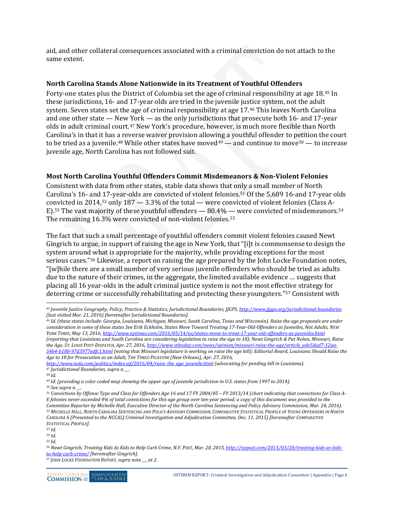aid, and other collateral consequences associated with a criminal conviction do not attach to the same extent.

#### <span id="page-11-0"></span>**North Carolina Stands Alone Nationwide in its Treatment of Youthful Offenders**

Forty-one states plus the District of Columbia set the age of criminal responsibility at age 18.[45](#page-11-2) In these jurisdictions, 16- and 17-year olds are tried in the juvenile justice system, not the adult system. Seven states set the age of criminal responsibility at age 17.[46](#page-11-3) This leaves North Carolina and one other state — New [Yo](#page-11-4)rk — as the only jurisdictions that prosecute both 16- and 17-year olds in adult criminal court.47 New York's procedure, however, is much more flexible than North Carolina's in that it has a reverse waiver provision allowing a youthful offender to p[eti](#page-11-7)tion the court to be tried as a juvenile.<sup>[48](#page-11-5)</sup> While other states have moved<sup>[49](#page-11-6)</sup> — and continue to move<sup>50</sup> — to increase juvenile age, North Carolina has not followed suit.

#### <span id="page-11-1"></span>**Most North Carolina Youthful Offenders Commit Misdemeanors & Non-Violent Felonies**

Consistent with data from other states, stable data shows that only a small number of North Carolina's 16- and 17-year-olds are convicted of violent felonies.[51](#page-11-8) Of the 5,689 16-and 17-year olds co[nv](#page-11-10)icted in 2014,[52](#page-11-9) only 187 — 3.3% of the total — were convicted of violent felonies (Class A-E).53 The vast majority of these youthful offenders — 80.4% — were convicted of misdemeanors.[54](#page-11-11) The remaining 16.3% were convicted of non-violent felonies.<sup>[55](#page-11-12)</sup>

The fact that such a small percentage of youthful offenders commit violent felonies caused Newt Gingrich to argue, in support of raising the age in New York, that "[i]t is commonsense to design the system aroun[d w](#page-11-13)hat is appropriate for the majority, while providing exceptions for the most serious cases."56 Likewise, a report on raising the age prepared by the John Locke Foundation notes, "[w]hile there are a small number of very serious juvenile offenders who should be tried as adults due to the nature of their crimes, in the aggregate, the limited available evidence … suggests that placing all 16 year-olds in the adult criminal justice system is not the most effec[tiv](#page-11-14)e strategy for deterring crime or successfully rehabilitating and protecting these youngsters."57 Consistent with

*[http://www.nola.com/politics/index.ssf/2016/04/raise\\_the\\_age\\_juvenile.html](http://www.nola.com/politics/index.ssf/2016/04/raise_the_age_juvenile.html) (advocating for pending bill in Louisiana). <sup>47</sup> Jurisdictional Boundaries, supra n. \_\_.*

<span id="page-11-5"></span><span id="page-11-4"></span>*<sup>48</sup> Id.*

<span id="page-11-7"></span>*<sup>50</sup> See supra n. \_\_.*

<span id="page-11-10"></span>*<sup>53</sup> Id.*

<span id="page-11-12"></span><span id="page-11-11"></span>*<sup>54</sup> Id. <sup>55</sup> Id.*

<span id="page-11-14"></span>

<span id="page-11-2"></span> $\ddot{\phantom{a}}$ *<sup>45</sup> Juvenile Justice Geography, Policy, Practice & Statistics, Jurisdictional Boundaries, JJGPS, <http://www.jjgps.org/jurisdictional-boundaries> (last visited Mar. 21, 2016) [hereinafter Jurisdictional Boundaries].* 

<span id="page-11-3"></span>*<sup>46</sup> Id. (these states include: Georgia, Louisiana, Michigan, Missouri, South Carolina, Texas and Wisconsin). Raise the age proposals are under consideration in some of these states See Erik Eckholm, States Move Toward Treating 17-Year-Old-Offenders as Juveniles, Not Adults, NEW YORK TIMES, May 13, 2016[, http://www.nytimes.com/2016/05/14/us/states-move-to-treat-17-year-old-offenders-as-juveniles.html](http://www.nytimes.com/2016/05/14/us/states-move-to-treat-17-year-old-offenders-as-juveniles.html) (reporting that Louisiana and South Carolina are considering legislation to raise the age to 18); Newt Gingrich & Pat Nolan, Missouri, Raise the Age, ST. LOUIS POST-DISPATCH, Apr. 27, 2016[, http://www.stltoday.com/news/opinion/missouri-raise-the-age/article\\_ade5dad7-12aa-](http://www.stltoday.com/news/opinion/missouri-raise-the-age/article_ade5dad7-12aa-54b4-b180-97d3977edfc1.html)[54b4-b180-97d3977edfc1.html](http://www.stltoday.com/news/opinion/missouri-raise-the-age/article_ade5dad7-12aa-54b4-b180-97d3977edfc1.html) (noting that Missouri legislature is working on raise the age bill); Editorial Board, Louisiana Should Raise the Age to 18 for Prosecution as an Adult, THE TIMES-PICAYUNE (New Orleans), Apr. 27, 2016,* 

<span id="page-11-6"></span>*<sup>49</sup> Id. (providing a color coded map showing the upper age of juvenile jurisdiction in U.S. states from 1997 to 2014).*

<span id="page-11-9"></span><span id="page-11-8"></span>*<sup>51</sup> Convictions by Offense Type and Class for Offenders Age 16 and 17 FY 2004/05 – FY 2013/14 (chart indicating that convictions for Class A-E felonies never exceeded 4% of total convictions for this age group over ten-year period; a copy of this document was provided to the Committee Reporter by Michelle Hall, Executive Director of the North Carolina Sentencing and Policy Advisory Commission, Mar. 24, 2016). <sup>52</sup> MICHELLE HALL, NORTH CAROLINA SENTENCING AND POLICY ADVISORY COMMISSION, COMPARATIVE STATISTICAL PROFILE OF YOUNG OFFENDERS IN NORTH CAROLINA 6 (Presented to the NCCALJ Criminal Investigation and Adjudication Committee, Dec. 11, 2015) [hereinafter COMPARATIVE STATISTICAL PROFILE].*

<span id="page-11-13"></span>*<sup>56</sup> Newt Gingrich, Treating Kids As Kids to Help Curb Crime, N.Y. POST, Mar. 20, 2015[, http://nypost.com/2015/03/20/treating-kids-as-kids](http://nypost.com/2015/03/20/treating-kids-as-kids-to-help-curb-crime/)to-help-curb-crime/ [\[](http://nypost.com/2015/03/20/treating-kids-as-kids-to-help-curb-crime/)hereinafter Gingrich]. 57 JOHN LOCKE FOUNDATION REPORT, supra note \_\_, at 2.*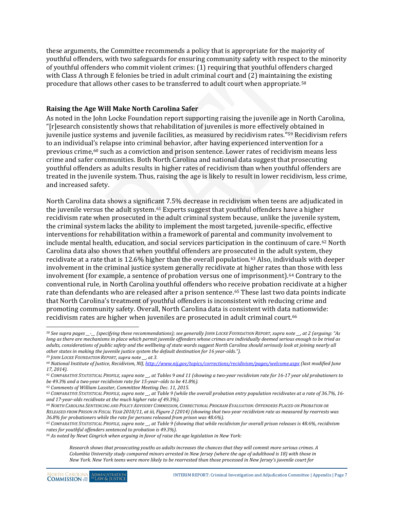these arguments, the Committee recommends a policy that is appropriate for the majority of youthful offenders, with two safeguards for ensuring community safety with respect to the minority of youthful offenders who commit violent crimes: (1) requiring that youthful offenders charged with Class A through E felonies be tried in adult criminal court and (2) maintaining the existing procedure that allows other cases to be transferred to adult court when appropriate.[58](#page-12-1)

#### <span id="page-12-0"></span>**Raising the Age Will Make North Carolina Safer**

As noted in the John Locke Foundation report supporting raising the juvenile age in North Carolina, "[r]esearch consistently shows that rehabilitation of juveniles is more effectivel[y o](#page-12-2)btained in juvenile justice systems and juvenile facilities, as measured by recidivism rates."59 Recidivism refers to an individual's relapse into criminal behavior, after having experienced intervention for a previous crime,[60](#page-12-3) such as a conviction and prison sentence. Lower rates of recidivism means less crime and safer communities. Both North Carolina and national data suggest that prosecuting youthful offenders as adults results in higher rates of recidivism than when youthful offenders are treated in the juvenile system. Thus, raising the age is likely to result in lower recidivism, less crime, and increased safety.

North Carolina data shows a significant 7.5% decrease in recidivism when teens are adjudicated in the juvenile versus the adult system.<sup>[61](#page-12-4)</sup> Experts suggest that youthful offenders have a higher recidivism rate when prosecuted in the adult criminal system because, unlike the juvenile system, the criminal system lacks the ability to implement the most targeted, juvenile-specific, effective interventions for rehabilitation within a framework of parental and community involvement to include mental health, education, and social services participation in the continuum of care.<sup>[62](#page-12-5)</sup> North Carolina data also shows that when youthful offenders are prosecut[ed](#page-12-6) in the adult system, they recidivate at a rate that is 12.6% higher than the overall population.63 Also, individuals with deeper involvement in the criminal justice system generally recidivate at higher rates than those with less involvement (for example, a sentence of probation versus one of imprisonment).<sup>[64](#page-12-7)</sup> Contrary to the conventional rule, in North Carolina youthful offenders who receive probation recidivate at a higher rate than defendants who are released after a prison sentence.[65](#page-12-8) These last two data points indicate that North Carolina's treatment of youthful offenders is inconsistent with reducing crime and promoting community safety. Overall, North Carolina data is consistent with data nationwide: recidivism rates are higher when juveniles are prosecuted in adult criminal court.[66](#page-12-9)

 $\ddot{\phantom{a}}$ 

<span id="page-12-5"></span>*<sup>62</sup> Comments of William Lassiter, Committee Meeting Dec. 11, 2015.*

<span id="page-12-1"></span>*<sup>58</sup> See supra pages \_\_-\_\_ (specifying these recommendations); see generally JOHN LOCKE FOUNDATION REPORT, supra note \_\_, at 2 (arguing: "As*  long as there are mechanisms in place which permit juvenile offenders whose crimes are individually deemed serious enough to be tried as *adults, considerations of public safety and the wellbeing of state wards suggest North Carolina should seriously look at joining nearly all other states in making the juvenile justice system the default destination for 16 year-olds.").*

<span id="page-12-2"></span>*<sup>59</sup> JOHN LOCKE FOUNDATION REPORT, supra note \_\_, at 3.*

<span id="page-12-3"></span>*<sup>60</sup> National Institute of Justice, Recidivism, NIJ[, http://www.nij.gov/topics/corrections/recidivism/pages/welcome.aspx](http://www.nij.gov/topics/corrections/recidivism/pages/welcome.aspx) (last modified June 17, 2014).* 

<span id="page-12-4"></span>*<sup>61</sup> COMPARATIVE STATISTICAL PROFILE, supra note \_\_, at Tables 9 and 11 (showing a two-year recidivism rate for 16-17 year old probationers to be 49.3% and a two-year recidivism rate for 15-year–olds to be 41.8%).*

<span id="page-12-6"></span>*<sup>63</sup> COMPARATIVE STATISTICAL PROFILE, supra note \_\_, at Table 9 (while the overall probation entry population recidivates at a rate of 36.7%, 16 and 17-year-olds recidivate at the much higher rate of 49.3%).*

<span id="page-12-7"></span>*<sup>64</sup> NORTH CAROLINA SENTENCING AND POLICY ADVISORY COMMISSION, CORRECTIONAL PROGRAM EVALUATION: OFFENDERS PLACED ON PROBATION OR RELEASED FROM PRISON IN FISCAL YEAR 2010/11, at iii, Figure 2 (2014) (showing that two-year recidivism rate as measured by rearrests was 36.8% for probationers while the rate for persons released from prison was 48.6%).*

<span id="page-12-8"></span>*<sup>65</sup> COMPARATIVE STATISTICAL PROFILE, supra note \_\_, at Table 9 (showing that while recidivism for overall prison releases is 48.6%, recidivism rates for youthful offenders sentenced to probation is 49.3%).*

<span id="page-12-9"></span>*<sup>66</sup> As noted by Newt Gingrich when arguing in favor of raise the age legislation in New York:*

*Research shows that prosecuting youths as adults increases the chances that they will commit more serious crimes. A Columbia University study compared minors arrested in New Jersey (where the age of adulthood is 18) with those in New York. New York teens were more likely to be rearrested than those processed in New Jersey's juvenile court for*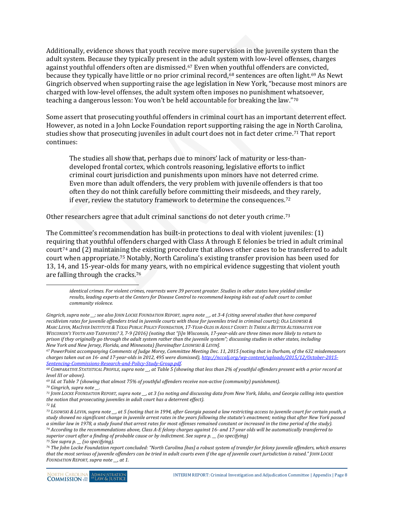Additionally, evidence shows that youth receive more supervision in the juvenile system than the adult system. Because they typically present in [th](#page-13-0)e adult system with low-level offenses, charges against youthful offenders often are dismissed.67 Even when youthful offenders are con[vic](#page-13-2)ted, because they typically have little or no prior criminal record,<sup>[68](#page-13-1)</sup> sentences are often light.<sup>69</sup> As Newt Gingrich observed when supporting raise the age legislation in New York, "because most minors are charged with low-level offenses, the adult system often imposes no punishment whatsoever, teaching a dangerous lesson: You won't be held accountable for breaking the law."[70](#page-13-3)

Some assert that prosecuting youthful offenders in criminal court has an important deterrent effect. However, as noted in a John Locke Foundation report supporting raising the age i[n N](#page-13-4)orth Carolina, studies show that prosecuting juveniles in adult court does not in fact deter crime.71 That report continues:

The studies all show that, perhaps due to minors' lack of maturity or less-thandeveloped frontal cortex, which controls reasoning, legislative efforts to inflict criminal court jurisdiction and punishments upon minors have not deterred crime. Even more than adult offenders, the very problem with juvenile offenders is that too often they do not think carefully before committing their misdeeds, and they rarely, if ever, review the statutory framework to determine the consequences.[72](#page-13-5)

Other researchers agree that adult criminal sanctions do not deter youth crime.[73](#page-13-6)

The Committee's recommendation has built-in protections to deal with violent juveniles: (1) requiring that youthful offenders charged with Class A through E felonies be tried in adult criminal court<sup>[74](#page-13-7)</sup> and  $(2)$  ma[in](#page-13-8)taining the existing procedure that allows other cases to be transferred to adult court when appropriate.75 Notably, North Carolina's existing transfer provision has been used for 13, 14, and 15-year-olds for many years, with no empirical evidence suggesting that violent youth are falling through the cracks.[76](#page-13-9)

 $\ddot{\phantom{a}}$ 

*identical crimes. For violent crimes, rearrests were 39 percent greater. Studies in other states have yielded similar results, leading experts at the Centers for Disease Control to recommend keeping kids out of adult court to combat community violence.*

*Gingrich, supra note \_\_; see also JOHN LOCKE FOUNDATION REPORT, supra note \_\_, at 3-4 (citing several studies that have compared recidivism rates for juvenile offenders tried in juvenile courts with those for juveniles tried in criminal courts); OLA LISOWSKI & MARC LEVIN, MACIVER INSTITUTE & TEXAS PUBLIC POLICY FOUNDATION, 17-YEAR-OLDS IN ADULT COURT: IS THERE A BETTER ALTERNATIVE FOR WISCONSIN'S YOUTH AND TAXPAYERS? 3, 7-9 (2016) (noting that "[i]n Wisconsin, 17-year-olds are three times more likely to return to prison if they originally go through the adult system rather than the juvenile system"; discussing studies in other states, including New York and New Jersey, Florida, and Minnesota) [hereinafter LISOWSKI & LEVIN].*

<span id="page-13-0"></span>*<sup>67</sup> PowerPoint accompanying Comments of Judge Morey, Committee Meeting Dec. 11, 2015 (noting that in Durham, of the 632 misdemeanors charges taken out on 16- and 17-year-olds in 2012, 495 were dismissed)[, http://nccalj.org/wp-content/uploads/2015/12/October-2015-](http://nccalj.org/wp-content/uploads/2015/12/October-2015-Sentencing-Commissions-Research-and-Policy-Study-Group.pdf)*

<span id="page-13-1"></span>*[Sentencing-Commissions-Research-and-Policy-Study-Group.pdf.](http://nccalj.org/wp-content/uploads/2015/12/October-2015-Sentencing-Commissions-Research-and-Policy-Study-Group.pdf) 68 COMPARATIVE STATISTICAL PROFILE, supra note \_\_, at Table 5 (showing that less than 2% of youthful offenders present with a prior record at level III or above).*

<span id="page-13-3"></span><span id="page-13-2"></span>*<sup>69</sup> Id. at Table 7 (showing that almost 75% of youthful offenders receive non-active (community) punishment).*

*<sup>70</sup> Gingrich, supra note \_\_.* 

<span id="page-13-4"></span>*<sup>71</sup> JOHN LOCKE FOUNDATION REPORT, supra note \_\_, at 3 (so noting and discussing data from New York, Idaho, and Georgia calling into question the notion that prosecuting juveniles in adult court has a deterrent effect).*

<span id="page-13-5"></span>*<sup>72</sup> Id.* 

<span id="page-13-6"></span>*<sup>73</sup> LISOWSKI & LEVIN, supra note \_\_, at 5 (noting that in 1994, after Georgia passed a law restricting access to juvenile court for certain youth, a study showed no significant change in juvenile arrest rates in the years following the statute's enactment; noting that after New York passed a similar law in 1978, a study found that arrest rates for most offenses remained constant or increased in the time period of the study). <sup>74</sup> According to the recommendations above, Class A-E felony charges against 16- and 17-year olds will be automatically transferred to superior court after a finding of probable cause or by indictment. See supra p. \_\_ (so specifying)*

<span id="page-13-8"></span><span id="page-13-7"></span>*<sup>75</sup> See supra p. \_\_ (so specifying).*

<span id="page-13-9"></span>*<sup>76</sup> The John Locke Foundation report concluded: "North Carolina [has] a robust system of transfer for felony juvenile offenders, which ensures that the most serious of juvenile offenders can be tried in adult courts even if the age of juvenile court jurisdiction is raised." JOHN LOCKE FOUNDATION REPORT, supra note \_\_, at 1.*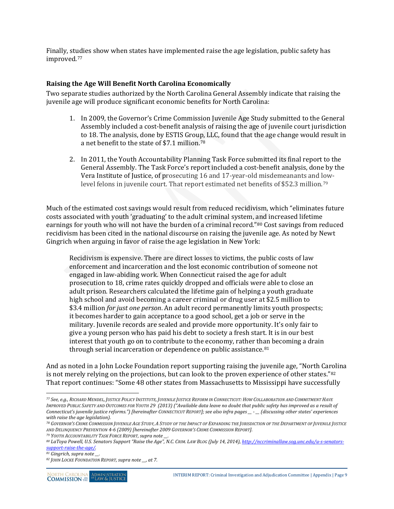Finally, studies show when states have implemented raise the age legislation, public safety has improved.[77](#page-14-1)

#### <span id="page-14-0"></span>**Raising the Age Will Benefit North Carolina Economically**

Two separate studies authorized by the North Carolina General Assembly indicate that raising the juvenile age will produce significant economic benefits for North Carolina:

- 1. In 2009, the Governor's Crime Commission Juvenile Age Study submitted to the General Assembly included a cost-benefit analysis of raising the age of juvenile court jurisdiction to 18. The analysis, done by ESTIS Grou[p,](#page-14-2) LLC, found that the age change would result in a net benefit to the state of \$7.1 million.78
- 2. In 2011, the Youth Accountability Planning Task Force submitted its final report to the General Assembly. The Task Force's report included a cost-benefit analysis, done by the Vera Institute of Justice, of prosecuting 16 and 17-year-old misdemeanants and lowlevel felons in juvenile court. That report estimated net benefits of \$52.3 million.[79](#page-14-3)

Much of the estimated cost savings would result from reduced recidivism, which "eliminates future costs associated with youth 'graduating' to the adult criminal system, and increased lifetime earnings for youth who will not have the burden of a criminal record."[80](#page-14-4) Cost savings from reduced recidivism has been cited in the national discourse on raising the juvenile age. As noted by Newt Gingrich when arguing in favor of raise the age legislation in New York:

Recidivism is expensive. There are direct losses to victims, the public costs of law enforcement and incarceration and the lost economic contribution of someone not engaged in law-abiding work. When Connecticut raised the age for adult prosecution to 18, crime rates quickly dropped and officials were able to close an adult prison. Researchers calculated the lifetime gain of helping a youth graduate high school and avoid becoming a career criminal or drug user at \$2.5 million to \$3.4 million *for just one person*. An adult record permanently limits youth prospects; it becomes harder to gain acceptance to a good school, get a job or serve in the military. Juvenile records are sealed and provide more opportunity. It's only fair to give a young person who has paid his debt to society a fresh start. It is in our best interest that youth go on to contribute to the economy, rather th[an](#page-14-5) becoming a drain through serial incarceration or dependence on public assistance.<sup>81</sup>

And as noted in a John Locke Foundation report supporting raising the juvenile age, "North Carolina is not merely relying on the projections, but can look to the proven experience of other states."<sup>[82](#page-14-6)</sup> That report continues: "Some 48 other states from Massachusetts to Mississippi have successfully

 $\overline{a}$ 

<span id="page-14-1"></span>*<sup>77</sup> See, e.g., RICHARD MENDEL, JUSTICE POLICY INSTITUTE, JUVENILE JUSTICE REFORM IN CONNECTICUT: HOW COLLABORATION AND COMMITMENT HAVE IMPROVED PUBLIC SAFETY AND OUTCOMES FOR YOUTH 29 (2013) ("Available data leave no doubt that public safety has improved as a result of Connecticut's juvenile justice reforms.") [hereinafter CONNECTICUT REPORT]; see also infra pages \_\_ - \_\_ (discussing other states' experiences with raise the age legislation).*

<span id="page-14-2"></span>*<sup>78</sup> GOVERNOR'S CRIME COMMISSION JUVENILE AGE STUDY, A STUDY OF THE IMPACT OF EXPANDING THE JURISDICTION OF THE DEPARTMENT OF JUVENILE JUSTICE AND DELINQUENCY PREVENTION 4-6 (2009) [hereinafter 2009 GOVERNOR'S CRIME COMMISSION REPORT]. 79 YOUTH ACCOUNTABILITY TASK FORCE REPORT, supra note \_\_.*

<span id="page-14-3"></span>

<span id="page-14-4"></span>*<sup>80</sup> LaToya Powell, U.S. Senators Support "Raise the Age", N.C. CRIM. LAW BLOG (July 14, 2014)[, http://nccriminallaw.sog.unc.edu/u-s-senators](http://nccriminallaw.sog.unc.edu/u-s-senators-support-raise-the-age/)[support-raise-the-age/.](http://nccriminallaw.sog.unc.edu/u-s-senators-support-raise-the-age/)*

<span id="page-14-5"></span>*<sup>81</sup> Gingrich, supra note \_\_.* 

<span id="page-14-6"></span>*<sup>82</sup> JOHN LOCKE FOUNDATION REPORT, supra note \_\_, at 7.*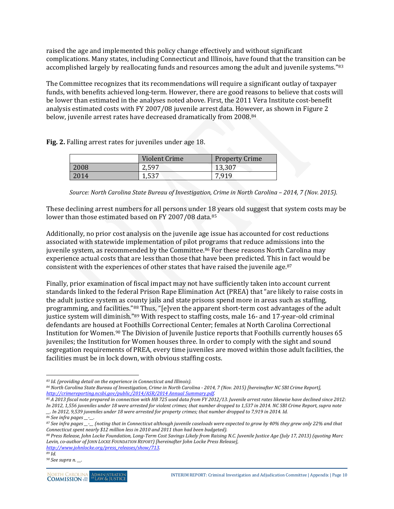raised the age and implemented this policy change effectively and without significant complications. Many states, including Connecticut and Illinois, have found that the transition can be accomplished largely by reallocating funds and resources among the adult and juvenile systems."<sup>[83](#page-15-0)</sup>

The Committee recognizes that its recommendations will require a significant outlay of taxpayer funds, with benefits achieved long-term. However, there are good reasons to believe that costs will be lower than estimated in the analyses noted above. First, the 2011 Vera Institute cost-benefit analysis estimated costs with FY 2007/08 juvenile arrest data. However, as shown in Figure 2 below, juvenile arrest rates have decreased dramatically from 2008.[84](#page-15-1)

**Fig. 2.** Falling arrest rates for juveniles under age 18.

|      | Violent Crime | <b>Property Crime</b> |
|------|---------------|-----------------------|
| 2008 | 2,597         | 13,307                |
| 2014 | 1,537         | 7,919                 |

*Source: North Carolina State Bureau of Investigation, Crime in North Carolina – 2014, 7 (Nov. 2015).*

These declining arrest numbers for all persons under 18 years old suggest that system costs may be lower than those estimated based on FY 2007/08 data.<sup>[85](#page-15-2)</sup>

Additionally, no prior cost analysis on the juvenile age issue has accounted for cost reductions associated with statewide implementation of pilot programs that reduce admissions into the juvenile system, as recommended by the Committee.<sup>[86](#page-15-3)</sup> For these reasons North Carolina may experience actual costs that are less than those that have been predicted. This in fact would be consistent with the experiences of other states that have raised the juvenile age.[87](#page-15-4)

Finally, prior examination of fiscal impact may not have sufficiently taken into account current standards linked to the federal Prison Rape Elimination Act (PREA) that "are likely to raise costs in the adult justice system as c[oun](#page-15-5)ty jails and state prisons spend more in areas such as staffing, programming, and facilities."88 Thus, "[e]ven the apparent short-term cost advantages of the adult justice system will diminish."[89](#page-15-6) With respect to staffing costs, male 16- and 17-year-old criminal defendants are housed [at](#page-15-7) Foothills Correctional Center; females at North Carolina Correctional Institution for Women.90 The Division of Juvenile Justice reports that Foothills currently houses 65 juveniles; the Institution for Women houses three. In order to comply with the sight and sound segregation requirements of PREA, every time juveniles are moved within those adult facilities, the facilities must be in lock down, with obvious staffing costs.

<span id="page-15-0"></span> $\overline{a}$ *<sup>83</sup> Id. (providing detail on the experience in Connecticut and Illinois).*

<span id="page-15-1"></span>*<sup>84</sup> North Carolina State Bureau of Investigation, Crime in North Carolina - 2014, 7 (Nov. 2015) [hereinafter NC SBI Crime Report], [http://crimereporting.ncsbi.gov/public/2014/ASR/2014 Annual Summary.pdf.](http://crimereporting.ncsbi.gov/public/2014/ASR/2014%20Annual%20Summary.pdf)*

<span id="page-15-2"></span>*<sup>85</sup> A 2013 fiscal note prepared in connection with HB 725 used data from FY 2012/13. Juvenile arrest rates likewise have declined since 2012: In 2012, 1,556 juveniles under 18 were arrested for violent crimes; that number dropped to 1,537 in 2014. NC SBI Crime Report, supra note \_\_. In 2012, 9,539 juveniles under 18 were arrested for property crimes; that number dropped to 7,919 in 2014. Id.*

<span id="page-15-3"></span>*<sup>86</sup> See infra pages \_\_-\_\_.*

<span id="page-15-4"></span>*<sup>87</sup> See infra pages \_\_-\_\_ (noting that in Connecticut although juvenile caseloads were expected to grow by 40% they grew only 22% and that Connecticut spent nearly \$12 million less in 2010 and 2011 than had been budgeted).*

<span id="page-15-5"></span>*<sup>88</sup> Press Release, John Locke Foundation, Long-Term Cost Savings Likely from Raising N.C. Juvenile Justice Age (July 17, 2013) (quoting Marc Levin, co-author of JOHN LOCKE FOUNDATION REPORT) [hereinafter John Locke Press Release],* 

<span id="page-15-6"></span>*[http://www.johnlocke.org/press\\_releases/show/713.](http://www.johnlocke.org/press_releases/show/713) <sup>89</sup> Id.*

<span id="page-15-7"></span>*<sup>90</sup> See supra n. \_\_.*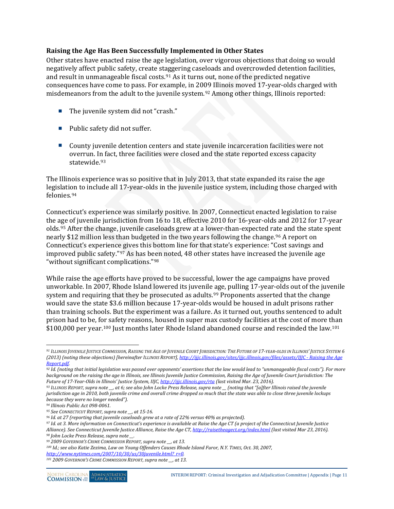#### <span id="page-16-0"></span>**Raising the Age Has Been Successfully Implemented in Other States**

Other states have enacted raise the age legislation, over vigorous objections that doing so would negatively affect public safety, create staggering caseloads and overcrowded detention facilities, and result in unmanageable fiscal costs.[91](#page-16-1) As it turns out, none of the predicted negative consequences have come to pass. For example, in 20[09](#page-16-2) Illinois moved 17-year-olds charged with misdemeanors from the adult to the juvenile system.92 Among other things, Illinois reported:

- The juvenile system did not "crash."
- Public safety did not suffer.
- County juvenile detention centers and state juvenile incarceration facilities were not overrun. I[n f](#page-16-3)act, three facilities were closed and the state reported excess capacity statewide.93

The Illinois experience was so positive that in July 2013, that state expanded its raise the age legislation to include all 17-year-olds in the juvenile justice system, including those charged with felonies.[94](#page-16-4)

Connecticut's experience was similarly positive. In 2007, Connecticut enacted legislation to raise the age of juvenile jurisdiction from 16 to 18, effective 2010 for 16-year-olds and 2012 for 17-year olds.[95](#page-16-5) After the change, juvenile caseloads grew at a lower-than-expected rate and the state spent nearly \$12 million less than budgeted in the two years following the change.<sup>[96](#page-16-6)</sup> A report on Connecticut's experience gives this bottom line for that state's experience: "Cost savings and improved public safety."[97](#page-16-7) As has been noted, 48 other states have increased the juvenile age "without significant complications."[98](#page-16-8)

While raise the age efforts have proved to be successful, lower the age campaigns have proved unworkable. In 2007, Rhode Island lowered its juvenile age, pulling 17-year-olds out of the juvenile system and requiring that they be prosecuted as adults.<sup>[99](#page-16-9)</sup> Proponents asserted that the change would save the state \$3.6 million because 17-year-olds would be housed in adult prisons rather than training schools. But the experiment was a failure. As it turned out, youths sentenced to adult prison had to be, f[or s](#page-16-10)afety reasons, housed in super max custody facilities at the cost of more than \$100,000 per year.<sup>100</sup> Just months later Rhode Island abandoned course and rescinded the law.<sup>[101](#page-16-11)</sup>

<span id="page-16-7"></span><span id="page-16-6"></span>*<sup>97</sup> Id. at 3. More information on Connecticut's experience is available at Raise the Age CT (a project of the Connecticut Juvenile Justice Alliance). See Connecticut Juvenile Justice Alliance, Raise the Age CT[, http://raisetheagect.org/index.html](http://raisetheagect.org/index.html) (last visited Mar 23, 2016). <sup>98</sup> John Locke Press Release, supra note \_\_.*

<span id="page-16-1"></span> $\ddot{\phantom{a}}$ *<sup>91</sup> ILLINOIS JUVENILE JUSTICE COMMISSION, RAISING THE AGE OF JUVENILE COURT JURISDICTION: THE FUTURE OF 17-YEAR-OLDS IN ILLINOIS' JUSTICE SYSTEM 6 (2013) (noting these objections) [hereinafter ILLINOIS REPORT][, http://ijjc.illinois.gov/sites/ijjc.illinois.gov/files/assets/IJJC -](http://ijjc.illinois.gov/sites/ijjc.illinois.gov/files/assets/IJJC%20-%20Raising%20the%20Age%20Report.pdf) Raising the Age [Report.pdf.](http://ijjc.illinois.gov/sites/ijjc.illinois.gov/files/assets/IJJC%20-%20Raising%20the%20Age%20Report.pdf)*

<span id="page-16-2"></span>*<sup>92</sup> Id. (noting that initial legislation was passed over opponents' assertions that the law would lead to "unmanageable fiscal costs"). For more background on the raising the age in Illinois, see Illinois Juvenile Justice Commission, Raising the Age of Juvenile Court Jurisdiction: The Future of 17-Year-Olds in Illinois' Justice System, IIJC[, http://ijjc.illinois.gov/rta](http://ijjc.illinois.gov/rta) (last visited Mar. 23, 2016).*

<span id="page-16-3"></span>*<sup>93</sup> ILLINOIS REPORT, supra note \_\_, at 6; see also John Locke Press Release, supra note \_\_ (noting that "[a]fter Illinois raised the juvenile jurisdiction age in 2010, both juvenile crime and overall crime dropped so much that the state was able to close three juvenile lockups because they were no longer needed").*

<span id="page-16-5"></span>

<span id="page-16-4"></span>*<sup>94</sup> Illinois Public Act 098-0061. 95 See CONNECTICUT REPORT, supra note \_\_, at 15-16. 96 Id. at 27 (reporting that juvenile caseloads grew at a rate of 22% versus 40% as projected).*

<span id="page-16-8"></span>*<sup>99</sup> 2009 GOVERNOR'S CRIME COMMISSION REPORT, supra note \_\_, at 13.*

<span id="page-16-10"></span><span id="page-16-9"></span>*<sup>100</sup> Id.; see also Katie Zezima, Law on Young Offenders Causes Rhode Island Furor, N.Y. TIMES, Oct. 30, 2007, [http://www.nytimes.com/2007/10/30/us/30juvenile.html?\\_r=0.](http://www.nytimes.com/2007/10/30/us/30juvenile.html?_r=0)*

<span id="page-16-11"></span>*<sup>101</sup> 2009 GOVERNOR'S CRIME COMMISSION REPORT, supra note \_\_, at 13.*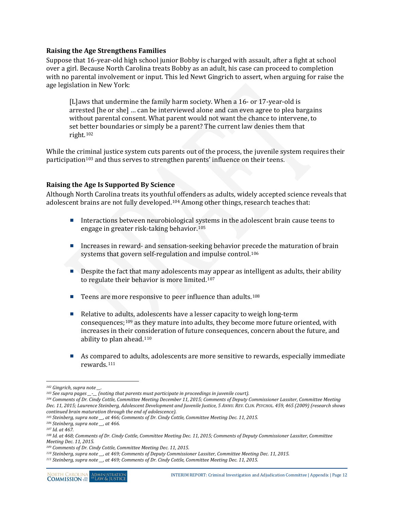#### <span id="page-17-0"></span>**Raising the Age Strengthens Families**

Suppose that 16-year-old high school junior Bobby is charged with assault, after a fight at school over a girl. Because North Carolina treats Bobby as an adult, his case can proceed to completion with no parental involvement or input. This led Newt Gingrich to assert, when arguing for raise the age legislation in New York:

[L]aws that undermine the family harm society. When a 16- or 17-year-old is arrested [he or she] … can be interviewed alone and can even agree to plea bargains without parental consent. What parent would not want the chance to intervene, to set better boundaries or simply be a parent? The current law denies them that right.[102](#page-17-2)

While the criminal justice system cuts parents out of the process, the juvenile system requires their participation<sup>[103](#page-17-3)</sup> and thus serves to strengthen parents' influence on their teens.

#### <span id="page-17-1"></span>**Raising the Age Is Supported By Science**

Although North Carolina treats its youthf[ul o](#page-17-4)ffenders as adults, widely accepted science reveals that adolescent brains are not fully developed.104 Among other things, research teaches that:

- Interactions between neurobiological systems in the adolescent brain cause teens to engage in greater risk-taking behavior.[105](#page-17-5)
- Increases in reward- and sensation-seeking behavior precede the maturation of brain systems that govern self-regulation and impulse control.<sup>[106](#page-17-6)</sup>
- Despite the fact that many adolescents may appear as intelligent as adults, their ability to regulate their behavior is more limited.[107](#page-17-7)
- Teens are more responsive to peer influence than adults.<sup>[108](#page-17-8)</sup>
- Relative to ad[ults](#page-17-9), adolescents have a lesser capacity to weigh long-term consequences;<sup>109</sup> as they mature into adults, they become more future oriented, with increases in their consideration of future consequences, concern about the future, and ability to plan ahead.[110](#page-17-10)
- As comp[are](#page-17-11)d to adults, adolescents are more sensitive to rewards, especially immediate rewards.111

 $\overline{a}$ 

<span id="page-17-2"></span><sup>&</sup>lt;sup>102</sup> Gingrich, supra note \_\_.<br><sup>103</sup> See supra pages \_\_-\_ (noting that parents must participate in proceedings in juvenile court).

<span id="page-17-4"></span><span id="page-17-3"></span>*<sup>104</sup> Comments of Dr. Cindy Cottle, Committee Meeting December 11, 2015; Comments of Deputy Commissioner Lassiter, Committee Meeting Dec. 11, 2015; Laurence Steinberg, Adolescent Development and Juvenile Justice, 5 ANNU. REV. CLIN. PSYCHOL. 459, 465 (2009) (research shows continued brain maturation through the end of adolescence).*

<span id="page-17-5"></span>*<sup>105</sup> Steinberg, supra note \_\_, at 466; Comments of Dr. Cindy Cottle, Committee Meeting Dec. 11, 2015.*

<span id="page-17-6"></span>*<sup>106</sup> Steinberg, supra note \_\_, at 466.*

<span id="page-17-7"></span>*<sup>107</sup> Id. at 467.*

<span id="page-17-8"></span>*<sup>108</sup> Id. at 468; Comments of Dr. Cindy Cottle, Committee Meeting Dec. 11, 2015; Comments of Deputy Commissioner Lassiter, Committee Meeting Dec. 11, 2015.*

<span id="page-17-9"></span>*<sup>109</sup> Comments of Dr. Cindy Cottle, Committee Meeting Dec. 11, 2015.*

<span id="page-17-10"></span>*<sup>110</sup> Steinberg, supra note \_\_, at 469; Comments of Deputy Commissioner Lassiter, Committee Meeting Dec. 11, 2015.*

<span id="page-17-11"></span>*<sup>111</sup> Steinberg, supra note \_\_, at 469; Comments of Dr. Cindy Cottle, Committee Meeting Dec. 11, 2015.*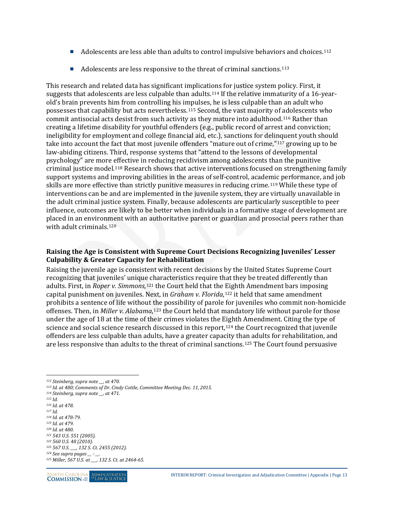- Adolescents are less able than adults to control impulsive behaviors and choices.<sup>[112](#page-18-1)</sup>
- Adolescents are less responsive to the threat of criminal sanctions.<sup>[113](#page-18-2)</sup>

This research and related data has significant implications for justice system policy. First, it suggests that adolescents are less culpable than adults.[114](#page-18-3) If the relative immaturity of a 16-yearold's brain prevents him from controlling his impulses, he is less culpable than an adult who possesses that capability but acts nevertheless.[115](#page-18-4) Second, the vast majority of adolescents who commit antisocial acts desist from such activity as they mature into adulthood.[116](#page-18-5) Rather than creating a lifetime disability for youthful offenders (e.g., public record of arrest and conviction; ineligibility for employment and college financial aid, etc.), sanctions for deli[nqu](#page-18-6)ent youth should take into account the fact that most juvenile offenders "mature out of crime,"117 growing up to be law-abiding citizens. Third, response systems that "attend to the lessons of developmental psychology" are more [effe](#page-18-7)ctive in reducing recidivism among adolescents than the punitive criminal justice model.118 Research shows that active interventions focused on strengthening family support systems and improving abilities in the areas of self-control, acade[mic](#page-18-8) performance, and job skills are more effective than strictly punitive measures in reducing crime.119 While these type of interventions can be and are implemented in the juvenile system, they are virtually unavailable in the adult criminal justice system. Finally, because adolescents are particularly susceptible to peer influence, outcomes are likely to be better when individuals in a formative stage of development are placed in an environment with an authoritative parent or guardian and prosocial peers rather than with adult criminals.[120](#page-18-9)

#### <span id="page-18-0"></span>**Raising the Age is Consistent with Supreme Court Decisions Recognizing Juveniles' Lesser Culpability & Greater Capacity for Rehabilitation**

Raising the juvenile age is consistent with recent decisions by the United States Supreme Court recognizing that juveniles' unique characteristics require that they be treated differently than adults. First, in *Roper v. Simmons*,[121](#page-18-10) the Court held that the Eighth Amendment bars imposing capital punishment on juveniles. Next, in *Graham v. Florida*,<sup>[122](#page-18-11)</sup> it held that same amendment prohibits a sentence of life without the possibility of parole for juveniles who commit non-homicide offenses. Then, in *Miller v. Alabama*,<sup>[123](#page-18-12)</sup> the Court held that mandatory life without parole for those under the age of 18 at the time of their crimes violates the [Eigh](#page-18-13)th Amendment. Citing the type of science and social science research discussed in this report,<sup>124</sup> the Court recognized that juvenile offenders are less culpable than adults, have a greater capacity than adults for rehabilitation, and are less responsive than adults to the threat of criminal sanctions.[125](#page-18-14) The Court found persuasive

 $\overline{a}$ 

<span id="page-18-7"></span><span id="page-18-6"></span>*<sup>118</sup> Id. at 478-79.*

<span id="page-18-14"></span><span id="page-18-13"></span><span id="page-18-12"></span><span id="page-18-11"></span>*<sup>125</sup> Miller, 567 U.S. at \_\_\_, 132 S. Ct. at 2464-65.*



<span id="page-18-1"></span>*<sup>112</sup> Steinberg, supra note \_\_, at 470.*

<span id="page-18-2"></span>*<sup>113</sup> Id. at 480; Comments of Dr. Cindy Cottle, Committee Meeting Dec. 11, 2015.*

<span id="page-18-3"></span>*<sup>114</sup> Steinberg, supra note \_\_, at 471.*

<span id="page-18-4"></span>*<sup>115</sup> Id.*

<span id="page-18-5"></span>*<sup>116</sup> Id. at 478. <sup>117</sup> Id.*

<span id="page-18-9"></span><span id="page-18-8"></span>*<sup>119</sup> Id. at 479.*

*<sup>120</sup> Id. at 480.*

<span id="page-18-10"></span>*<sup>121</sup> 543 U.S. 551 (2005).*

*<sup>122</sup> 560 U.S. 48 (2010). <sup>123</sup> 567 U.S. \_\_\_, 132 S. Ct. 2455 (2012).*

*<sup>124</sup> See supra pages \_\_ - \_\_.*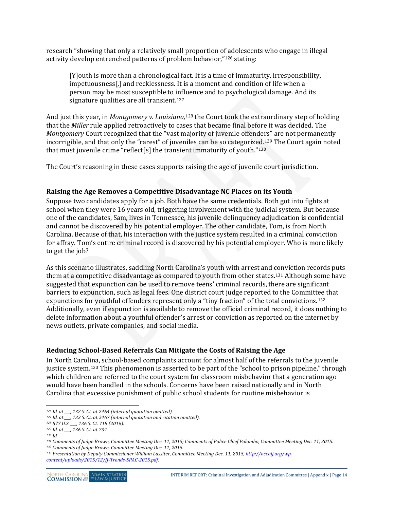research "showing that only a relatively small proportion of adolescents who engage in illegal activity develop entrenched patterns of problem behavior,"[126](#page-19-2) stating:

[Y]outh is more than a chronological fact. It is a time of immaturity, irresponsibility, impetuousness[,] and recklessness. It is a moment and condition of life when a person may be most susceptible to influence and to psychological damage. And its signature qualities are all transient.<sup>[127](#page-19-3)</sup>

And just this year, in *Montgomery v. Louisiana,*<sup>128</sup> the Court took the extraordinary step of holding that the *Miller* rule applied retroactively to ca[ses](#page-19-4) that became final before it was decided. The *Montgomery* Court recognized that the "vast majority of juvenile offenders" are not permanently incorrigible, and that only the "rarest" of juveniles can be so categoriz[ed.](#page-19-6)[129](#page-19-5) The Court again noted that most juvenile crime "reflect[s] the transient immaturity of youth."<sup>130</sup>

The Court's reasoning in these cases supports raising the age of juvenile court jurisdiction.

#### <span id="page-19-0"></span>**Raising the Age Removes a Competitive Disadvantage NC Places on its Youth**

Suppose two candidates apply for a job. Both have the same credentials. Both got into fights at school when they were 16 years old, triggering involvement with the judicial system. But because one of the candidates, Sam, lives in Tennessee, his juvenile delinquency adjudication is confidential and cannot be discovered by his potential employer. The other candidate, Tom, is from North Carolina. Because of that, his interaction with the justice system resulted in a criminal conviction for affray. Tom's entire criminal record is discovered by his potential employer. Who is more likely to get the job?

As this scenario illustrates, saddling North Carolina's youth with arrest and conviction records puts them at a competitive disadvantage as compared to youth from other states.[131](#page-19-7) Although some have suggested that expunction can be used to remove teens' criminal records, there are significant barriers to expunction, such as legal fees. One district court judge reported to the Committee that expunctions for youthful offenders represent only a "tiny fraction" of the total convictions.[132](#page-19-8) Additionally, even if expunction is available to remove the official criminal record, it does nothing to delete information about a youthful offender's arrest or conviction as reported on the internet by news outlets, private companies, and social media.

#### <span id="page-19-1"></span>**Reducing School-Based Referrals Can Mitigate the Costs of Raising the Age**

In North Carolina, school-based complaints account for almost half of the referrals to the juvenile justice system.[133](#page-19-9) This phenomenon is asserted to be part of the "school to prison pipeline," through which children are referred to the court system for classroom misbehavior that a generation ago would have been handled in the schools. Concerns have been raised nationally and in North Carolina that excessive punishment of public school students for routine misbehavior is

 $\overline{a}$ *<sup>126</sup> Id. at \_\_\_, 132 S. Ct. at 2464 (internal quotation omitted).*

<span id="page-19-4"></span><span id="page-19-3"></span><span id="page-19-2"></span>*<sup>127</sup> Id. at \_\_\_, 132 S. Ct. at 2467 (internal quotation and citation omitted).*

*<sup>128</sup> 577 U.S. \_\_\_, 136 S. Ct. 718 (2016).*

*<sup>129</sup> Id. at \_\_\_, 136 S. Ct. at 734.*

<span id="page-19-7"></span><span id="page-19-6"></span><span id="page-19-5"></span>*<sup>130</sup> Id.*

*<sup>131</sup> Comments of Judge Brown, Committee Meeting Dec. 11, 2015; Comments of Police Chief Palombo, Committee Meeting Dec. 11, 2015. <sup>132</sup> Comments of Judge Brown, Committee Meeting Dec. 11, 2015.*

<span id="page-19-9"></span><span id="page-19-8"></span>*<sup>133</sup> Presentation by Deputy Commissioner William Lassiter, Committee Meeting Dec. 11, 2015[, http://nccalj.org/wp](http://nccalj.org/wp-content/uploads/2015/12/JJ-Trends-SPAC-2015.pdf)[content/uploads/2015/12/JJ-Trends-SPAC-2015.pdf.](http://nccalj.org/wp-content/uploads/2015/12/JJ-Trends-SPAC-2015.pdf)*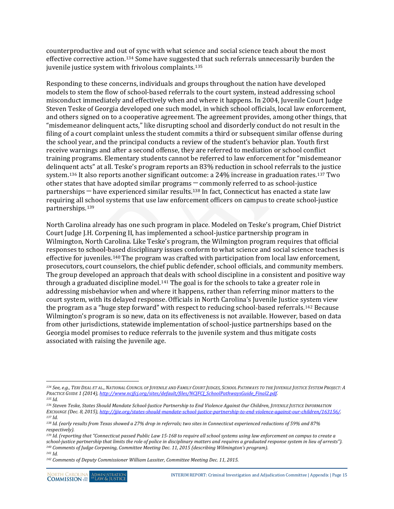counterproductive and out of sync with what science and social science teach about the most effective corrective action.[134](#page-20-0) Some have suggested that such referrals unnecessarily burden the juvenile justice system with frivolous complaints.<sup>[135](#page-20-1)</sup>

Responding to these concerns, individuals and groups throughout the nation have developed models to stem the flow of school-based referrals to the court system, instead addressing school misconduct immediately and effectively when and where it happens. In 2004, Juvenile Court Judge Steven Teske of Georgia developed one such model, in which school officials, local law enforcement, and others signed on to a cooperative agreement. The agreement provides, among other things, that "misdemeanor delinquent acts," like disrupting school and disorderly conduct do not result in the filing of a court complaint unless the student commits a third or subsequent similar offense during the school year, and the principal conducts a review of the student's behavior plan. Youth first receive warnings and after a second offense, they are referred to mediation or school conflict training programs. Elementary students cannot be referred to law enforcement for "misdemeanor delinquent acts" at all. Teske's program reports an 83% reduction in school referrals to the justice system.[136](#page-20-2) It also reports another significant outcome: a 24% increase in graduation rates.[137](#page-20-3) Two other states that have adopted similar programs ─ commonly referred to as school-justice partnerships  $-$  have experienced similar results.<sup>[138](#page-20-4)</sup> In fact, Connecticut has enacted a state law requiring all school systems that use law enforcement officers on campus to create school-justice partnerships.[139](#page-20-5)

North Carolina already has one such program in place. Modeled on Teske's program, Chief District Court Judge J.H. Corpening II, has implemented a school-justice partnership program in Wilmington, North Carolina. Like Teske's program, the Wilmington program requires that official responses to school-based disciplinary issues conform to what science and social science teaches is effective for juveniles.[140](#page-20-6) The program was crafted with participation from local law enforcement, prosecutors, court counselors, the chief public defender, school officials, and community members. The group developed an approach that deals with school discipline in a consistent and positive way through a graduated discipline model.<sup>[141](#page-20-7)</sup> The goal is for the schools to take a greater role in addressing misbehavior when and where it happens, rather than referring minor matters to the court system, with its delayed response. Officials in North Carolina's Juvenile Justice system view the program as a "huge step forward" with respect to reducing school-based referrals.[142](#page-20-8) Because Wilmington's program is so new, data on its effectiveness is not available. However, based on data from other jurisdictions, statewide implementation of school-justice partnerships based on the Georgia model promises to reduce referrals to the juvenile system and thus mitigate costs associated with raising the juvenile age.

<span id="page-20-0"></span> $\overline{a}$ *<sup>134</sup> See, e.g., TERI DEAL ET AL., NATIONAL COUNCIL OF JUVENILE AND FAMILY COURT JUDGES, SCHOOL PATHWAYS TO THE JUVENILE JUSTICE SYSTEM PROJECT: A PRACTICE GUIDE 1 (2014), [http://www.ncjfcj.org/sites/default/files/NCJFCJ\\_SchoolPathwaysGuide\\_Final2.pdf.](http://www.ncjfcj.org/sites/default/files/NCJFCJ_SchoolPathwaysGuide_Final2.pdf)*

<span id="page-20-1"></span>*<sup>135</sup> Id.*

<span id="page-20-2"></span>*<sup>136</sup> Steven Teske, States Should Mandate School-Justice Partnership to End Violence Against Our Children, JUVENILE JUSTICE INFORMATION EXCHANGE (Dec. 8, 2015)[, http://jjie.org/states-should-mandate-school-justice-partnership-to-end-violence-against-our-children/163156/.](http://jjie.org/states-should-mandate-school-justice-partnership-to-end-violence-against-our-children/163156/) <sup>137</sup> Id.*

<span id="page-20-4"></span><span id="page-20-3"></span>*<sup>138</sup> Id. (early results from Texas showed a 27% drop in referrals; two sites in Connecticut experienced reductions of 59% and 87% respectively).*

<span id="page-20-5"></span>*<sup>139</sup> Id. (reporting that "Connecticut passed Public Law 15-168 to require all school systems using law enforcement on campus to create a school-justice partnership that limits the role of police in disciplinary matters and requires a graduated response system in lieu of arrests"). <sup>140</sup> Comments of Judge Corpening, Committee Meeting Dec. 11, 2015 (describing Wilmington's program).*

<span id="page-20-8"></span><span id="page-20-7"></span><span id="page-20-6"></span>*<sup>141</sup> Id.*

*<sup>142</sup> Comments of Deputy Commissioner William Lassiter, Committee Meeting Dec. 11, 2015.*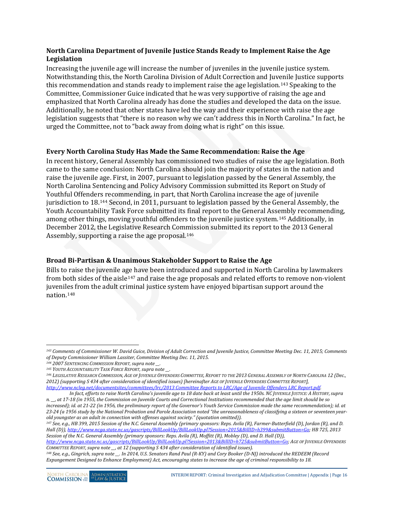### <span id="page-21-0"></span>**North Carolina Department of Juvenile Justice Stands Ready to Implement Raise the Age Legislation**

Increasing the juvenile age will increase the number of juveniles in the juvenile justice system. Notwithstanding this, the North Carolina Division of Adult Correction and Juvenile Justice supports this recommendation and stands ready to implement raise the age legislation.[143](#page-21-3) Speaking to the Committee, Commissioner Guice indicated that he was very supportive of raising the age and emphasized that North Carolina already has done the studies and developed the data on the issue. Additionally, he noted that other states have led the way and their experience with raise the age legislation suggests that "there is no reason why we can't address this in North Carolina." In fact, he urged the Committee, not to "back away from doing what is right" on this issue.

#### <span id="page-21-1"></span>**Every North Carolina Study Has Made the Same Recommendation: Raise the Age**

In recent history, General Assembly has commissioned two studies of raise the age legislation. Both came to the same conclusion: North Carolina should join the majority of states in the nation and raise the juvenile age. First, in 2007, pursuant to legislation passed by the General Assembly, the North Carolina Sentencing and Policy Advisory Commission submitted its Report on Study of Youthful Offenders recommending, in part, that North Carolina increase the age of juvenile jurisdiction to 18.[144](#page-21-4) Second, in 2011, pursuant to legislation passed by the General Assembly, the Youth Accountability Task Force submitted its final report to the General Assembly recommending, among other things, moving youthful offenders to the juvenile justice system.[145](#page-21-5) Additionally, in December 2012, the Legislative Research Com[mis](#page-21-6)sion submitted its report to the 2013 General Assembly, supporting a raise the age proposal.<sup>146</sup>

### <span id="page-21-2"></span>**Broad Bi-Partisan & Unanimous Stakeholder Support to Raise the Age**

Bills to raise the juvenile a[ge h](#page-21-7)ave been introduced and supported in North Carolina by lawmakers from both sides of the aisle<sup>147</sup> and raise the age proposals and related efforts to remove non-violent juveniles from the adult criminal justice system have enjoyed bipartisan support around the nation.[148](#page-21-8)

<span id="page-21-7"></span>*<sup>147</sup> See, e.g., HB 399, 2015 Session of the N.C. General Assembly (primary sponsors: Reps. Avila (R), Farmer-Butterfield (D), Jordan (R), and D. Hall (D))[, http://www.ncga.state.nc.us/gascripts/BillLookUp/BillLookUp.pl?Session=2015&BillID=h399&submitButton=Go;](http://www.ncga.state.nc.us/gascripts/BillLookUp/BillLookUp.pl?Session=2015&BillID=h399&submitButton=Go) HB 725, 2013 Session of the N.C. General Assembly (primary sponsors: Reps. Avila (R), Moffitt (R), Mobley (D), and D. Hall (D)),* 

<span id="page-21-3"></span> $\overline{a}$ *<sup>143</sup> Comments of Commissioner W. David Guice, Division of Adult Correction and Juvenile Justice, Committee Meeting Dec. 11, 2015; Comments of Deputy Commissioner William Lassiter, Committee Meeting Dec. 11, 2015.*

<span id="page-21-4"></span>*<sup>144</sup> 2007 SENTENCING COMMISSION REPORT, supra note \_\_.*

<span id="page-21-6"></span><span id="page-21-5"></span><sup>&</sup>lt;sup>145</sup> YOUTH ACCOUNTABILITY TASK FORCE REPORT, supra note \_\_.<br><sup>146</sup> LEGISLATIVE RESEARCH COMMISSION, AGE OF JUVENILE OFFENDERS COMMITTEE, REPORT TO THE 2013 GENERAL ASSEMBLY OF NORTH CAROLINA 12 (Dec., *2012) (supporting S 434 after consideration of identified issues) [hereinafter AGE OF JUVENILE OFFENDERS COMMITTEE REPORT], [http://www.ncleg.net/documentsites/committees/lrc/2013 Committee Reports to LRC/Age of Juvenile Offenders LRC Report.pdf.](http://www.ncleg.net/documentsites/committees/lrc/2013%20Committee%20Reports%20to%20LRC/Age%20of%20Juvenile%20Offenders%20LRC%20Report.pdf)*

*In fact, efforts to raise North Carolina's juvenile age to 18 date back at least until the 1950s. NC JUVENILE JUSTICE: A HISTORY,supra n. \_\_, at 17-18 (in 1955, the Commission on Juvenile Courts and Correctional Institutions recommended that the age limit should be so increased); id. at 21-22 (in 1956, the preliminary report of the Governor's Youth Service Commission made the same recommendation); id. at 23-24 (a 1956 study by the National Probation and Parole Association noted "the unreasonableness of classifying a sixteen or seventeen yearold youngster as an adult in connection with offenses against society." (quotation omitted)).*

*[http://www.ncga.state.nc.us/gascripts/BillLookUp/BillLookUp.pl?Session=2013&BillID=h725&submitButton=Go;](http://www.ncga.state.nc.us/gascripts/BillLookUp/BillLookUp.pl?Session=2013&BillID=h725&submitButton=Go) AGE OF JUVENILE OFFENDERS COMMITTEE REPORT, supra note \_\_, at 12 (supporting S 434 after consideration of identified issues).*

<span id="page-21-8"></span>*<sup>148</sup> See, e.g., Gingrich, supra note \_\_. In 2014, U.S. Senators Rand Paul (R-KY) and Cory Booker (D-NJ) introduced the REDEEM (Record Expungement Designed to Enhance Employment) Act, encouraging states to increase the age of criminal responsibility to 18.*